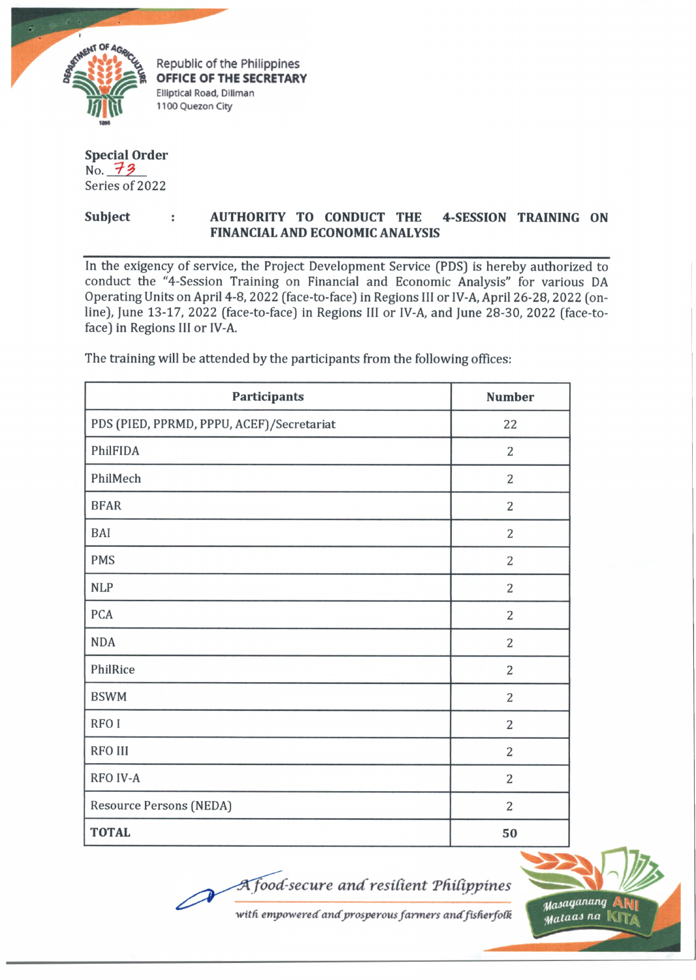

## **Special Order** No. 73 Series of 2022

## **Subject : AUTHORITY TO CONDUCT THE 4-SESSION TRAINING ON FINANCIAL AND ECONOMIC ANALYSIS**

In the exigency of service, the Project Development Service (PDS) is hereby authorized to conduct the "4-Session Training on Financial and Economic Analysis" for various DA Operating Units on April 4-8,2022 (face-to-face) in Regions III or IV-A, April 26-28,2022 (online), June 13-17, 2022 (face-to-face) in Regions III or IV-A, and June 28-30, 2022 (face-toface) in Regions III or IV-A.

| <b>Participants</b>                       | <b>Number</b>  |
|-------------------------------------------|----------------|
| PDS (PIED, PPRMD, PPPU, ACEF)/Secretariat | 22             |
| PhilFIDA                                  | $\overline{2}$ |
| PhilMech                                  | $\overline{2}$ |
| <b>BFAR</b>                               | $\overline{2}$ |
| BAI                                       | $\overline{2}$ |
| <b>PMS</b>                                | $\overline{2}$ |
| <b>NLP</b>                                | $\overline{2}$ |
| <b>PCA</b>                                | $\overline{2}$ |
| <b>NDA</b>                                | $\overline{2}$ |
| PhilRice                                  | $\overline{2}$ |
| <b>BSWM</b>                               | $\overline{2}$ |
| RFO I                                     | $\overline{2}$ |
| <b>RFO III</b>                            | $\overline{2}$ |
| <b>RFO IV-A</b>                           | $\overline{2}$ |
| Resource Persons (NEDA)                   | $\overline{2}$ |
| <b>TOTAL</b>                              | 50             |

The training will be attended by the participants from the following offices:

*food secure and'resilient 'Pfiil'ippines*